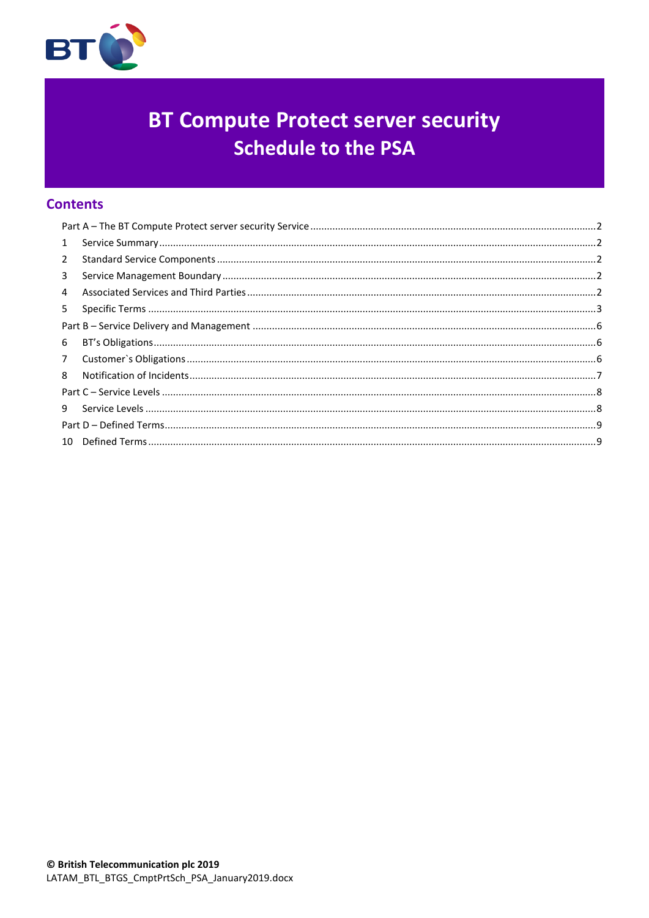

# **BT Compute Protect server security Schedule to the PSA**

# **Contents**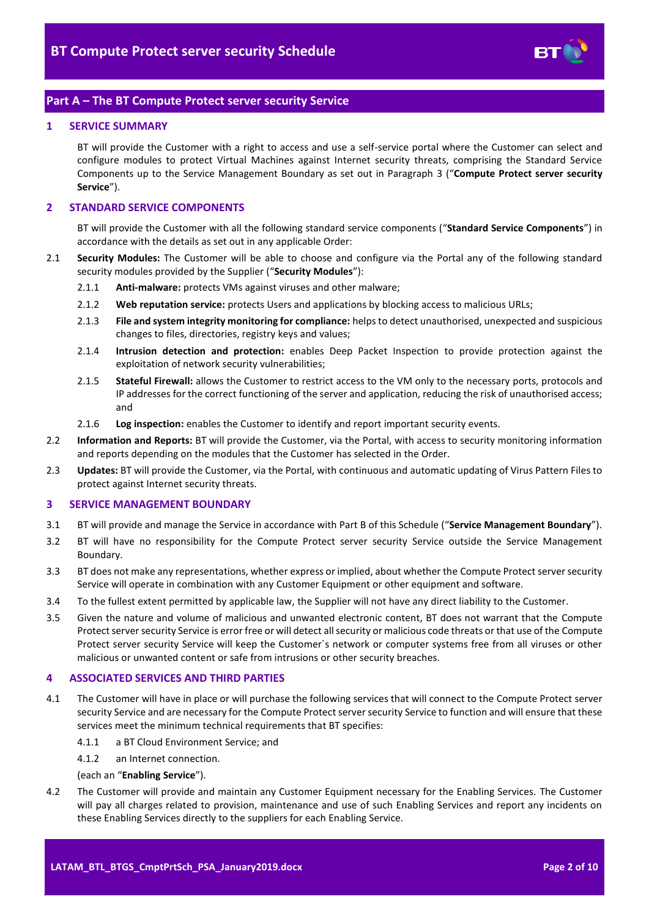

# <span id="page-1-0"></span>**Part A – The BT Compute Protect server security Service**

#### <span id="page-1-1"></span>**1 SERVICE SUMMARY**

BT will provide the Customer with a right to access and use a self-service portal where the Customer can select and configure modules to protect Virtual Machines against Internet security threats, comprising the Standard Service Components up to the Service Management Boundary as set out in Paragraph [3](#page-1-3) ("**Compute Protect server security Service**").

#### <span id="page-1-2"></span>**2 STANDARD SERVICE COMPONENTS**

BT will provide the Customer with all the following standard service components ("**Standard Service Components**") in accordance with the details as set out in any applicable Order:

- <span id="page-1-6"></span>2.1 **Security Modules:** The Customer will be able to choose and configure via the Portal any of the following standard security modules provided by the Supplier ("**Security Modules**"):
	- 2.1.1 **Anti-malware:** protects VMs against viruses and other malware;
	- 2.1.2 **Web reputation service:** protects Users and applications by blocking access to malicious URLs;
	- 2.1.3 **File and system integrity monitoring for compliance:** helps to detect unauthorised, unexpected and suspicious changes to files, directories, registry keys and values;
	- 2.1.4 **Intrusion detection and protection:** enables Deep Packet Inspection to provide protection against the exploitation of network security vulnerabilities;
	- 2.1.5 **Stateful Firewall:** allows the Customer to restrict access to the VM only to the necessary ports, protocols and IP addresses for the correct functioning of the server and application, reducing the risk of unauthorised access; and
	- 2.1.6 **Log inspection:** enables the Customer to identify and report important security events.
- 2.2 **Information and Reports:** BT will provide the Customer, via the Portal, with access to security monitoring information and reports depending on the modules that the Customer has selected in the Order.
- 2.3 **Updates:** BT will provide the Customer, via the Portal, with continuous and automatic updating of Virus Pattern Files to protect against Internet security threats.

#### <span id="page-1-3"></span>**3 SERVICE MANAGEMENT BOUNDARY**

- <span id="page-1-7"></span>3.1 BT will provide and manage the Service in accordance with Part B of this Schedule ("**Service Management Boundary**").
- 3.2 BT will have no responsibility for the Compute Protect server security Service outside the Service Management Boundary.
- 3.3 BT does not make any representations, whether express or implied, about whether the Compute Protect server security Service will operate in combination with any Customer Equipment or other equipment and software.
- 3.4 To the fullest extent permitted by applicable law, the Supplier will not have any direct liability to the Customer.
- 3.5 Given the nature and volume of malicious and unwanted electronic content, BT does not warrant that the Compute Protect server security Service is error free or will detect all security or malicious code threats or that use of the Compute Protect server security Service will keep the Customer`s network or computer systems free from all viruses or other malicious or unwanted content or safe from intrusions or other security breaches.

#### <span id="page-1-4"></span>**4 ASSOCIATED SERVICES AND THIRD PARTIES**

- <span id="page-1-5"></span>4.1 The Customer will have in place or will purchase the following services that will connect to the Compute Protect server security Service and are necessary for the Compute Protect server security Service to function and will ensure that these services meet the minimum technical requirements that BT specifies:
	- 4.1.1 a BT Cloud Environment Service; and
	- 4.1.2 an Internet connection.

#### (each an "**Enabling Service**").

4.2 The Customer will provide and maintain any Customer Equipment necessary for the Enabling Services. The Customer will pay all charges related to provision, maintenance and use of such Enabling Services and report any incidents on these Enabling Services directly to the suppliers for each Enabling Service.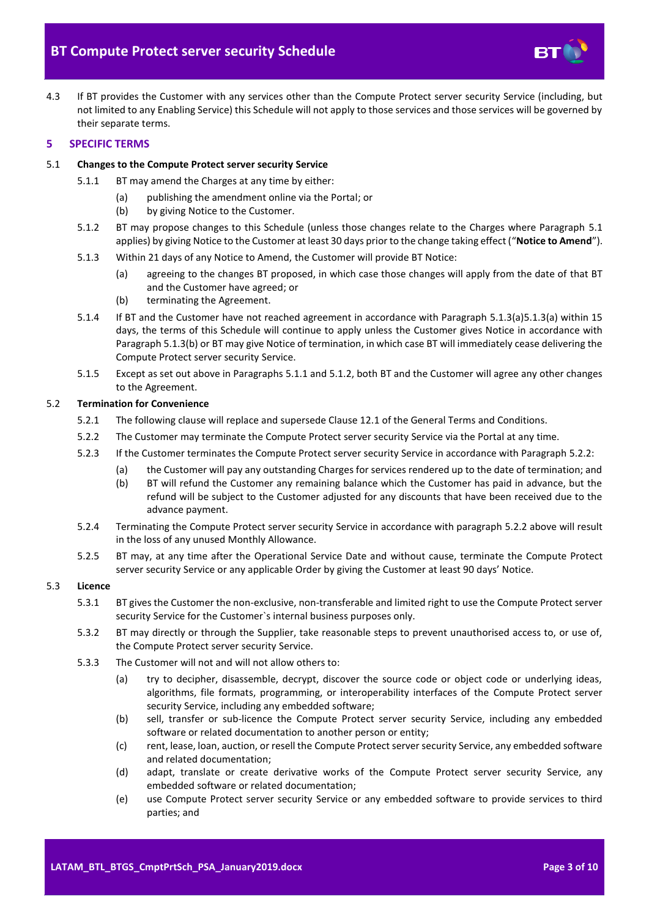

4.3 If BT provides the Customer with any services other than the Compute Protect server security Service (including, but not limited to any Enabling Service) this Schedule will not apply to those services and those services will be governed by their separate terms.

### <span id="page-2-0"></span>**5 SPECIFIC TERMS**

#### <span id="page-2-5"></span><span id="page-2-1"></span>5.1 **Changes to the Compute Protect server security Service**

- 5.1.1 BT may amend the Charges at any time by either:
	- (a) publishing the amendment online via the Portal; or
	- (b) by giving Notice to the Customer.
- <span id="page-2-6"></span>5.1.2 BT may propose changes to this Schedule (unless those changes relate to the Charges where Paragraph [5.1](#page-2-1) applies) by giving Notice to the Customer at least 30 days prior to the change taking effect ("**Notice to Amend**").
- <span id="page-2-3"></span>5.1.3 Within 21 days of any Notice to Amend, the Customer will provide BT Notice:
	- (a) agreeing to the changes BT proposed, in which case those changes will apply from the date of that BT and the Customer have agreed; or
	- (b) terminating the Agreement.
- <span id="page-2-4"></span><span id="page-2-2"></span>5.1.4 If BT and the Customer have not reached agreement in accordance with Paragraph [5.1.3\(a\)](#page-2-2)[5.1.3\(a\)](#page-2-3) within 15 days, the terms of this Schedule will continue to apply unless the Customer gives Notice in accordance with Paragrap[h 5.1.3\(b\)](#page-2-4) or BT may give Notice of termination, in which case BT will immediately cease delivering the Compute Protect server security Service.
- 5.1.5 Except as set out above in Paragraphs [5.1.1](#page-2-5) and [5.1.2,](#page-2-6) both BT and the Customer will agree any other changes to the Agreement.

#### <span id="page-2-7"></span>5.2 **Termination for Convenience**

- 5.2.1 The following clause will replace and supersede Clause 12.1 of the General Terms and Conditions.
- 5.2.2 The Customer may terminate the Compute Protect server security Service via the Portal at any time.
- 5.2.3 If the Customer terminates the Compute Protect server security Service in accordance with Paragraph [5.2.2:](#page-2-7)
	- (a) the Customer will pay any outstanding Charges for services rendered up to the date of termination; and
		- (b) BT will refund the Customer any remaining balance which the Customer has paid in advance, but the refund will be subject to the Customer adjusted for any discounts that have been received due to the advance payment.
- 5.2.4 Terminating the Compute Protect server security Service in accordance with paragraph [5.2.2](#page-2-7) above will result in the loss of any unused Monthly Allowance.
- 5.2.5 BT may, at any time after the Operational Service Date and without cause, terminate the Compute Protect server security Service or any applicable Order by giving the Customer at least 90 days' Notice.

#### 5.3 **Licence**

- 5.3.1 BT gives the Customer the non-exclusive, non-transferable and limited right to use the Compute Protect server security Service for the Customer`s internal business purposes only.
- 5.3.2 BT may directly or through the Supplier, take reasonable steps to prevent unauthorised access to, or use of, the Compute Protect server security Service.
- <span id="page-2-8"></span>5.3.3 The Customer will not and will not allow others to:
	- (a) try to decipher, disassemble, decrypt, discover the source code or object code or underlying ideas, algorithms, file formats, programming, or interoperability interfaces of the Compute Protect server security Service, including any embedded software;
	- (b) sell, transfer or sub-licence the Compute Protect server security Service, including any embedded software or related documentation to another person or entity;
	- (c) rent, lease, loan, auction, or resell the Compute Protect server security Service, any embedded software and related documentation;
	- (d) adapt, translate or create derivative works of the Compute Protect server security Service, any embedded software or related documentation;
	- (e) use Compute Protect server security Service or any embedded software to provide services to third parties; and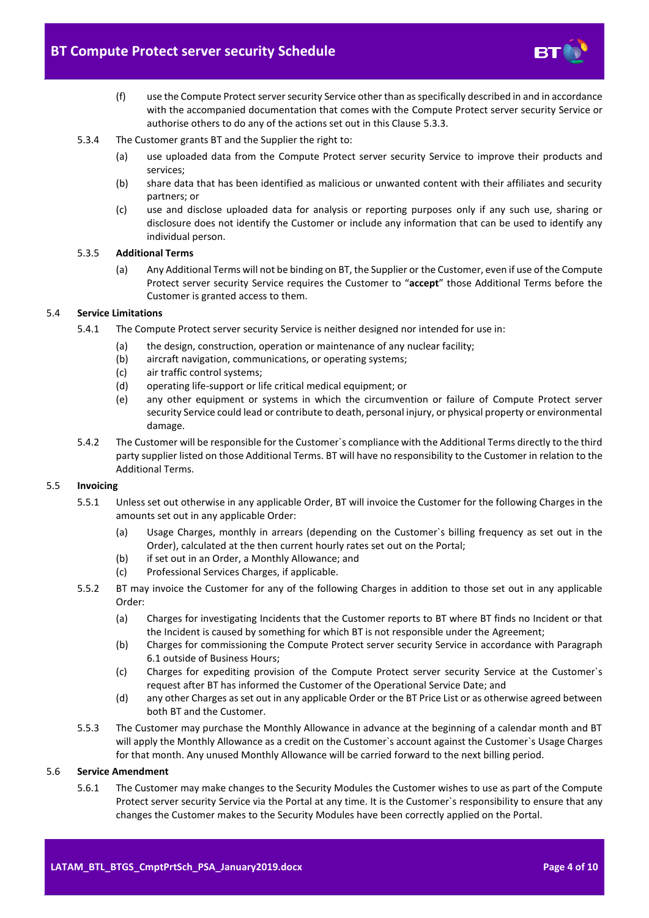

- (f) use the Compute Protect server security Service other than as specifically described in and in accordance with the accompanied documentation that comes with the Compute Protect server security Service or authorise others to do any of the actions set out in this Claus[e 5.3.3.](#page-2-8)
- 5.3.4 The Customer grants BT and the Supplier the right to:
	- (a) use uploaded data from the Compute Protect server security Service to improve their products and services;
	- (b) share data that has been identified as malicious or unwanted content with their affiliates and security partners; or
	- (c) use and disclose uploaded data for analysis or reporting purposes only if any such use, sharing or disclosure does not identify the Customer or include any information that can be used to identify any individual person.

#### 5.3.5 **Additional Terms**

(a) Any Additional Terms will not be binding on BT, the Supplier or the Customer, even if use of the Compute Protect server security Service requires the Customer to "**accept**" those Additional Terms before the Customer is granted access to them.

#### 5.4 **Service Limitations**

- 5.4.1 The Compute Protect server security Service is neither designed nor intended for use in:
	- (a) the design, construction, operation or maintenance of any nuclear facility;
	- (b) aircraft navigation, communications, or operating systems;
	- (c) air traffic control systems;
	- (d) operating life-support or life critical medical equipment; or
	- (e) any other equipment or systems in which the circumvention or failure of Compute Protect server security Service could lead or contribute to death, personal injury, or physical property or environmental damage.
- 5.4.2 The Customer will be responsible for the Customer`s compliance with the Additional Terms directly to the third party supplier listed on those Additional Terms. BT will have no responsibility to the Customer in relation to the Additional Terms.

#### 5.5 **Invoicing**

- 5.5.1 Unless set out otherwise in any applicable Order, BT will invoice the Customer for the following Charges in the amounts set out in any applicable Order:
	- (a) Usage Charges, monthly in arrears (depending on the Customer`s billing frequency as set out in the Order), calculated at the then current hourly rates set out on the Portal;
	- (b) if set out in an Order, a Monthly Allowance; and
	- (c) Professional Services Charges, if applicable.
- 5.5.2 BT may invoice the Customer for any of the following Charges in addition to those set out in any applicable Order:
	- (a) Charges for investigating Incidents that the Customer reports to BT where BT finds no Incident or that the Incident is caused by something for which BT is not responsible under the Agreement;
	- (b) Charges for commissioning the Compute Protect server security Service in accordance with Paragraph [6.1](#page-5-3) outside of Business Hours;
	- (c) Charges for expediting provision of the Compute Protect server security Service at the Customer`s request after BT has informed the Customer of the Operational Service Date; and
	- (d) any other Charges as set out in any applicable Order or the BT Price List or as otherwise agreed between both BT and the Customer.
- 5.5.3 The Customer may purchase the Monthly Allowance in advance at the beginning of a calendar month and BT will apply the Monthly Allowance as a credit on the Customer`s account against the Customer`s Usage Charges for that month. Any unused Monthly Allowance will be carried forward to the next billing period.

#### <span id="page-3-0"></span>5.6 **Service Amendment**

5.6.1 The Customer may make changes to the Security Modules the Customer wishes to use as part of the Compute Protect server security Service via the Portal at any time. It is the Customer`s responsibility to ensure that any changes the Customer makes to the Security Modules have been correctly applied on the Portal.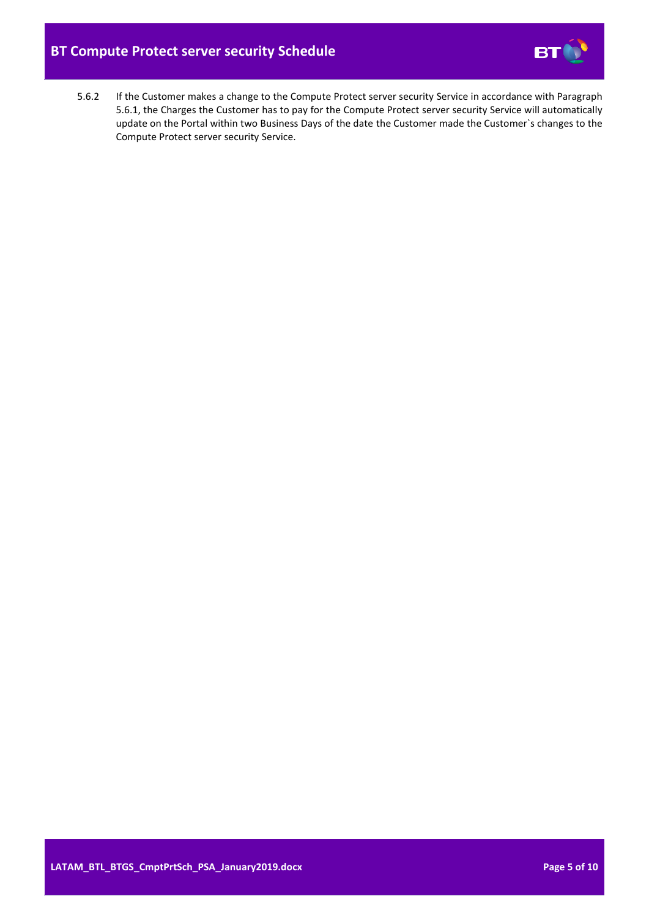

5.6.2 If the Customer makes a change to the Compute Protect server security Service in accordance with Paragraph [5.6.1,](#page-3-0) the Charges the Customer has to pay for the Compute Protect server security Service will automatically update on the Portal within two Business Days of the date the Customer made the Customer`s changes to the Compute Protect server security Service.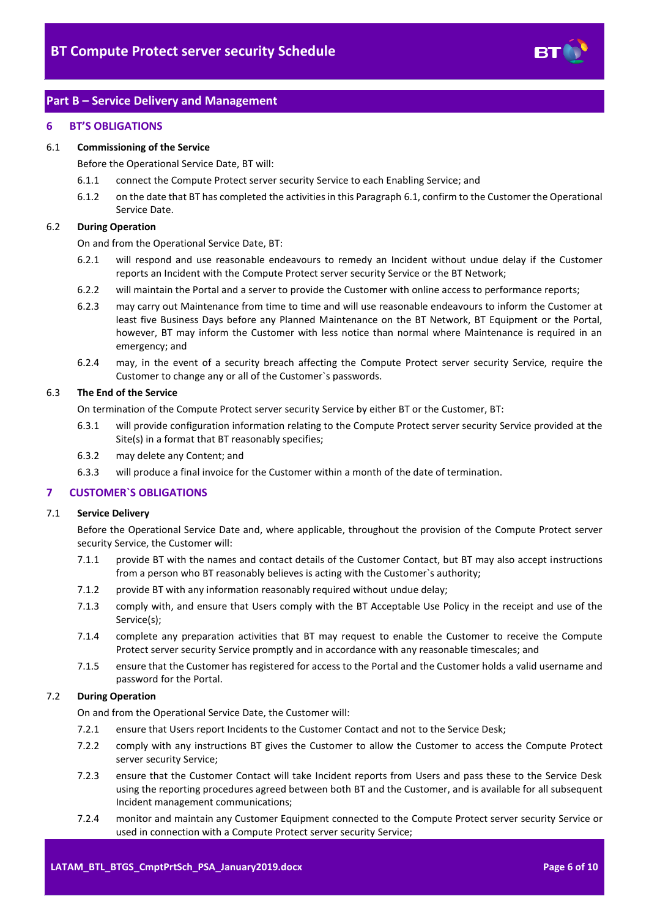

# <span id="page-5-0"></span>**Part B – Service Delivery and Management**

#### <span id="page-5-1"></span>**6 BT'S OBLIGATIONS**

#### <span id="page-5-3"></span>6.1 **Commissioning of the Service**

Before the Operational Service Date, BT will:

- 6.1.1 connect the Compute Protect server security Service to each Enabling Service; and
- 6.1.2 on the date that BT has completed the activities in this Paragrap[h 6.1,](#page-5-3) confirm to the Customer the Operational Service Date.

# 6.2 **During Operation**

On and from the Operational Service Date, BT:

- 6.2.1 will respond and use reasonable endeavours to remedy an Incident without undue delay if the Customer reports an Incident with the Compute Protect server security Service or the BT Network;
- 6.2.2 will maintain the Portal and a server to provide the Customer with online access to performance reports;
- 6.2.3 may carry out Maintenance from time to time and will use reasonable endeavours to inform the Customer at least five Business Days before any Planned Maintenance on the BT Network, BT Equipment or the Portal, however, BT may inform the Customer with less notice than normal where Maintenance is required in an emergency; and
- 6.2.4 may, in the event of a security breach affecting the Compute Protect server security Service, require the Customer to change any or all of the Customer`s passwords.

## 6.3 **The End of the Service**

On termination of the Compute Protect server security Service by either BT or the Customer, BT:

- 6.3.1 will provide configuration information relating to the Compute Protect server security Service provided at the Site(s) in a format that BT reasonably specifies;
- 6.3.2 may delete any Content; and
- 6.3.3 will produce a final invoice for the Customer within a month of the date of termination.

#### <span id="page-5-2"></span>**7 CUSTOMER`S OBLIGATIONS**

#### 7.1 **Service Delivery**

Before the Operational Service Date and, where applicable, throughout the provision of the Compute Protect server security Service, the Customer will:

- 7.1.1 provide BT with the names and contact details of the Customer Contact, but BT may also accept instructions from a person who BT reasonably believes is acting with the Customer`s authority;
- 7.1.2 provide BT with any information reasonably required without undue delay;
- 7.1.3 comply with, and ensure that Users comply with the BT Acceptable Use Policy in the receipt and use of the Service(s);
- 7.1.4 complete any preparation activities that BT may request to enable the Customer to receive the Compute Protect server security Service promptly and in accordance with any reasonable timescales; and
- 7.1.5 ensure that the Customer has registered for access to the Portal and the Customer holds a valid username and password for the Portal.

## 7.2 **During Operation**

On and from the Operational Service Date, the Customer will:

- 7.2.1 ensure that Users report Incidents to the Customer Contact and not to the Service Desk;
- 7.2.2 comply with any instructions BT gives the Customer to allow the Customer to access the Compute Protect server security Service;
- 7.2.3 ensure that the Customer Contact will take Incident reports from Users and pass these to the Service Desk using the reporting procedures agreed between both BT and the Customer, and is available for all subsequent Incident management communications;
- 7.2.4 monitor and maintain any Customer Equipment connected to the Compute Protect server security Service or used in connection with a Compute Protect server security Service;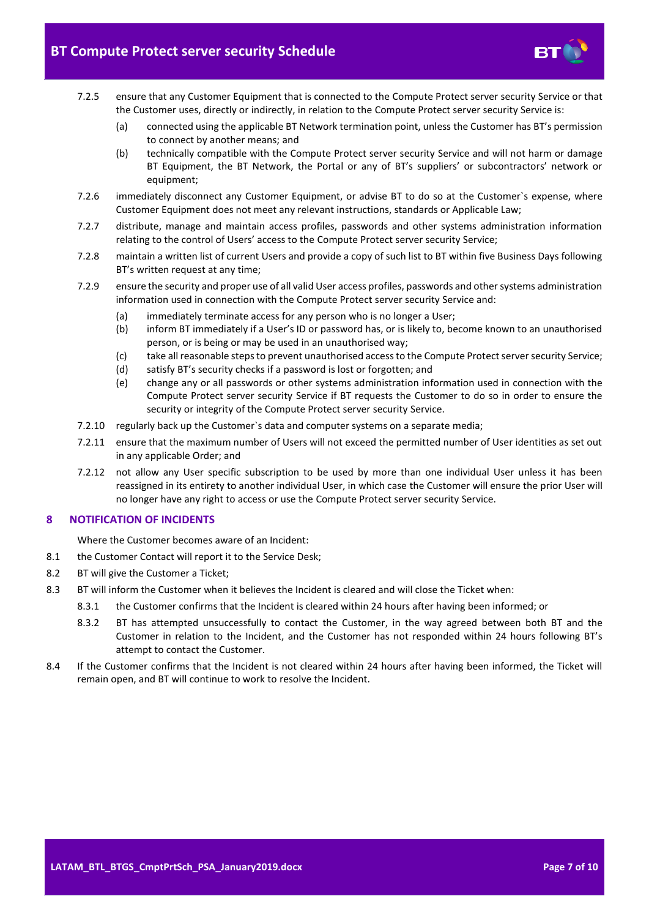

- 7.2.5 ensure that any Customer Equipment that is connected to the Compute Protect server security Service or that the Customer uses, directly or indirectly, in relation to the Compute Protect server security Service is:
	- (a) connected using the applicable BT Network termination point, unless the Customer has BT's permission to connect by another means; and
	- (b) technically compatible with the Compute Protect server security Service and will not harm or damage BT Equipment, the BT Network, the Portal or any of BT's suppliers' or subcontractors' network or equipment;
- 7.2.6 immediately disconnect any Customer Equipment, or advise BT to do so at the Customer`s expense, where Customer Equipment does not meet any relevant instructions, standards or Applicable Law;
- 7.2.7 distribute, manage and maintain access profiles, passwords and other systems administration information relating to the control of Users' access to the Compute Protect server security Service;
- 7.2.8 maintain a written list of current Users and provide a copy of such list to BT within five Business Days following BT's written request at any time;
- 7.2.9 ensure the security and proper use of all valid User access profiles, passwords and other systems administration information used in connection with the Compute Protect server security Service and:
	- (a) immediately terminate access for any person who is no longer a User;
	- (b) inform BT immediately if a User's ID or password has, or is likely to, become known to an unauthorised person, or is being or may be used in an unauthorised way;
	- (c) take all reasonable steps to prevent unauthorised access to the Compute Protect server security Service;
	- (d) satisfy BT's security checks if a password is lost or forgotten; and
	- (e) change any or all passwords or other systems administration information used in connection with the Compute Protect server security Service if BT requests the Customer to do so in order to ensure the security or integrity of the Compute Protect server security Service.
- 7.2.10 regularly back up the Customer`s data and computer systems on a separate media;
- 7.2.11 ensure that the maximum number of Users will not exceed the permitted number of User identities as set out in any applicable Order; and
- 7.2.12 not allow any User specific subscription to be used by more than one individual User unless it has been reassigned in its entirety to another individual User, in which case the Customer will ensure the prior User will no longer have any right to access or use the Compute Protect server security Service.

#### <span id="page-6-0"></span>**8 NOTIFICATION OF INCIDENTS**

Where the Customer becomes aware of an Incident:

- 8.1 the Customer Contact will report it to the Service Desk;
- 8.2 BT will give the Customer a Ticket;
- 8.3 BT will inform the Customer when it believes the Incident is cleared and will close the Ticket when:
	- 8.3.1 the Customer confirms that the Incident is cleared within 24 hours after having been informed; or
	- 8.3.2 BT has attempted unsuccessfully to contact the Customer, in the way agreed between both BT and the Customer in relation to the Incident, and the Customer has not responded within 24 hours following BT's attempt to contact the Customer.
- 8.4 If the Customer confirms that the Incident is not cleared within 24 hours after having been informed, the Ticket will remain open, and BT will continue to work to resolve the Incident.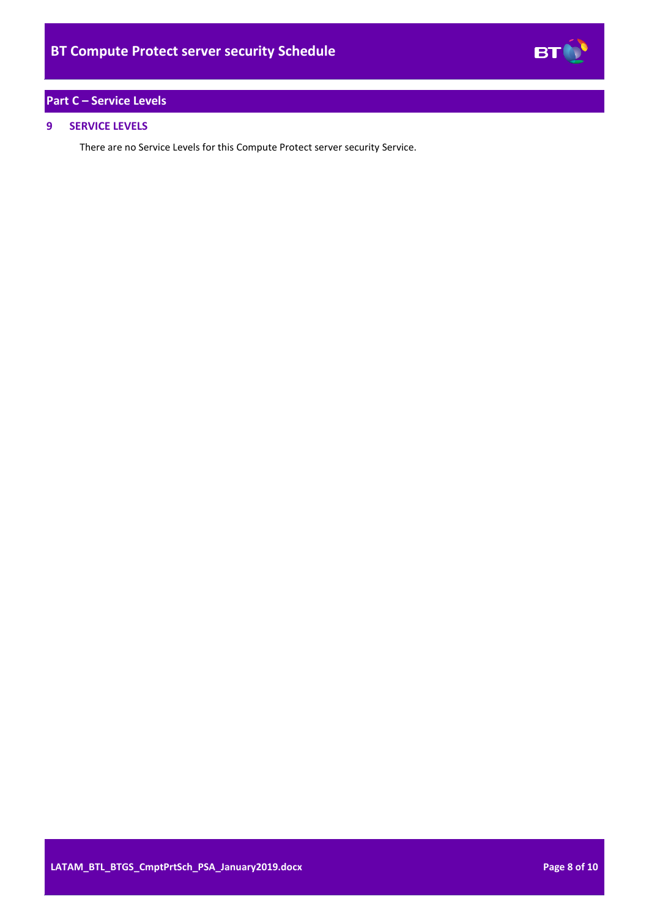

# <span id="page-7-0"></span>**Part C – Service Levels**

# <span id="page-7-1"></span>**9 SERVICE LEVELS**

There are no Service Levels for this Compute Protect server security Service.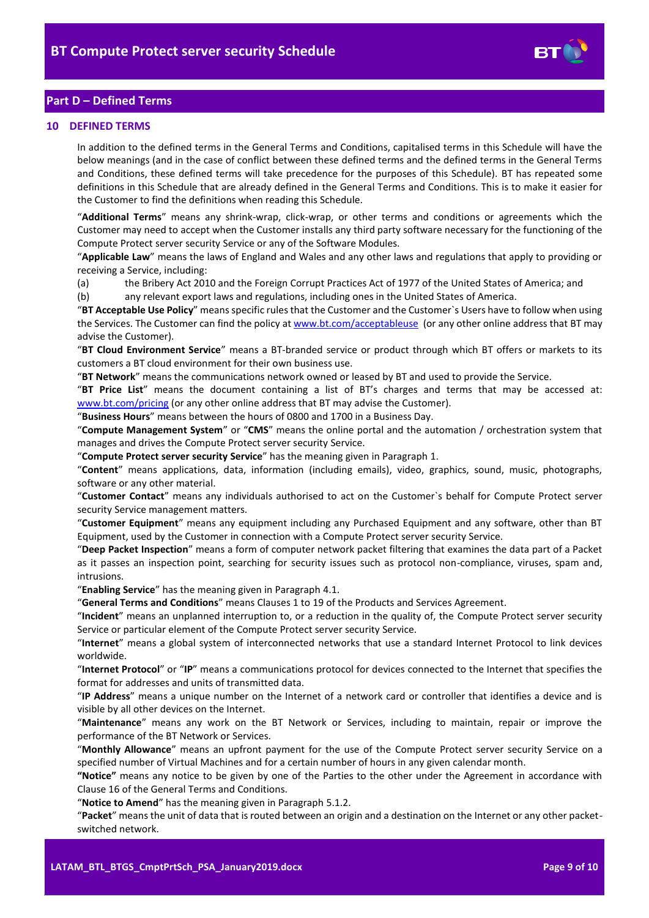

# <span id="page-8-0"></span>**Part D – Defined Terms**

#### <span id="page-8-1"></span>**10 DEFINED TERMS**

In addition to the defined terms in the General Terms and Conditions, capitalised terms in this Schedule will have the below meanings (and in the case of conflict between these defined terms and the defined terms in the General Terms and Conditions, these defined terms will take precedence for the purposes of this Schedule). BT has repeated some definitions in this Schedule that are already defined in the General Terms and Conditions. This is to make it easier for the Customer to find the definitions when reading this Schedule.

"**Additional Terms**" means any shrink-wrap, click-wrap, or other terms and conditions or agreements which the Customer may need to accept when the Customer installs any third party software necessary for the functioning of the Compute Protect server security Service or any of the Software Modules.

"**Applicable Law**" means the laws of England and Wales and any other laws and regulations that apply to providing or receiving a Service, including:

(a) the Bribery Act 2010 and the Foreign Corrupt Practices Act of 1977 of the United States of America; and

(b) any relevant export laws and regulations, including ones in the United States of America.

"**BT Acceptable Use Policy**" means specific rules that the Customer and the Customer`s Users have to follow when using the Services. The Customer can find the policy a[t www.bt.com/acceptableuse](http://www.bt.com/acceptableuse) (or any other online address that BT may advise the Customer).

"**BT Cloud Environment Service**" means a BT-branded service or product through which BT offers or markets to its customers a BT cloud environment for their own business use.

"**BT Network**" means the communications network owned or leased by BT and used to provide the Service.

"**BT Price List**" means the document containing a list of BT's charges and terms that may be accessed at: [www.bt.com/pricing](http://www.bt.com/pricing) (or any other online address that BT may advise the Customer).

"**Business Hours**" means between the hours of 0800 and 1700 in a Business Day.

"**Compute Management System**" or "**CMS**" means the online portal and the automation / orchestration system that manages and drives the Compute Protect server security Service.

"**Compute Protect server security Service**" has the meaning given in Paragraph [1.](#page-1-1)

"**Content**" means applications, data, information (including emails), video, graphics, sound, music, photographs, software or any other material.

"**Customer Contact**" means any individuals authorised to act on the Customer`s behalf for Compute Protect server security Service management matters.

"**Customer Equipment**" means any equipment including any Purchased Equipment and any software, other than BT Equipment, used by the Customer in connection with a Compute Protect server security Service.

"**Deep Packet Inspection**" means a form of computer network packet filtering that examines the data part of a Packet as it passes an inspection point, searching for security issues such as protocol non-compliance, viruses, spam and, intrusions.

"**Enabling Service**" has the meaning given in Paragrap[h 4.1.](#page-1-5)

"**General Terms and Conditions**" means Clauses 1 to 19 of the Products and Services Agreement.

"**Incident**" means an unplanned interruption to, or a reduction in the quality of, the Compute Protect server security Service or particular element of the Compute Protect server security Service.

"**Internet**" means a global system of interconnected networks that use a standard Internet Protocol to link devices worldwide.

"**Internet Protocol**" or "**IP**" means a communications protocol for devices connected to the Internet that specifies the format for addresses and units of transmitted data.

"**IP Address**" means a unique number on the Internet of a network card or controller that identifies a device and is visible by all other devices on the Internet.

"**Maintenance**" means any work on the BT Network or Services, including to maintain, repair or improve the performance of the BT Network or Services.

"**Monthly Allowance**" means an upfront payment for the use of the Compute Protect server security Service on a specified number of Virtual Machines and for a certain number of hours in any given calendar month.

**"Notice"** means any notice to be given by one of the Parties to the other under the Agreement in accordance with Clause 16 of the General Terms and Conditions.

"**Notice to Amend**" has the meaning given in Paragraph [5.1.2.](#page-2-6)

"**Packet**" means the unit of data that is routed between an origin and a destination on the Internet or any other packetswitched network.